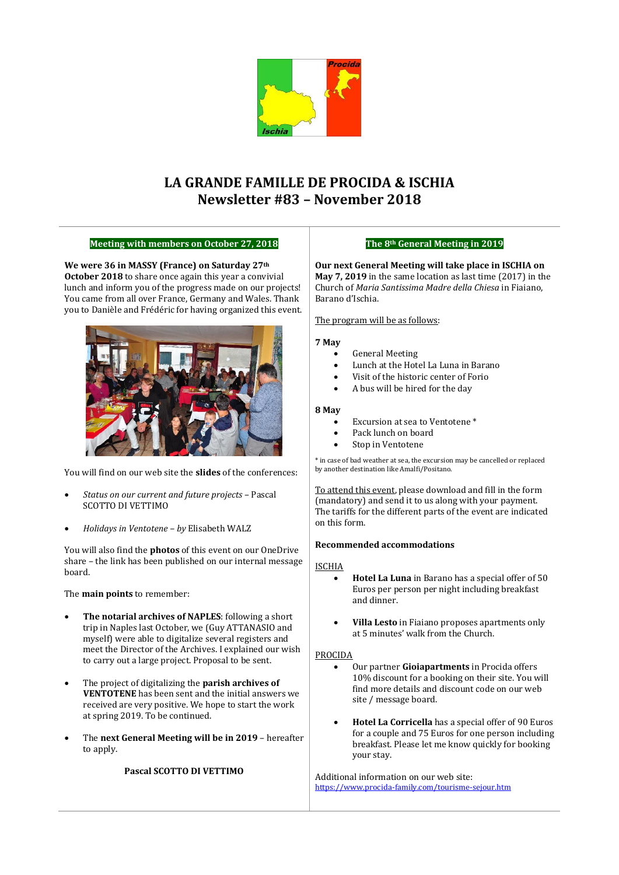

# **LA GRANDE FAMILLE DE PROCIDA & ISCHIA Newsletter #83 – November 2018**

# **Meeting with members on October 27, 2018**

**We were 36 in MASSY (France) on Saturday 27th October 2018** to share once again this year a convivial lunch and inform you of the progress made on our projects! You came from all over France, Germany and Wales. Thank you to Danièle and Frédéric for having organized this event.



You will find on our web site the **slides** of the conferences:

- *Status on our current and future projects* Pascal SCOTTO DI VETTIMO
- *Holidays in Ventotene – by* Elisabeth WALZ

You will also find the **photos** of this event on our OneDrive share – the link has been published on our internal message board.

The **main points** to remember:

- **The notarial archives of NAPLES**: following a short trip in Naples last October, we (Guy ATTANASIO and myself) were able to digitalize several registers and meet the Director of the Archives. I explained our wish to carry out a large project. Proposal to be sent.
- The project of digitalizing the **parish archives of VENTOTENE** has been sent and the initial answers we received are very positive. We hope to start the work at spring 2019. To be continued.
- The **next General Meeting will be in 2019** hereafter to apply.

**Pascal SCOTTO DI VETTIMO**

# **The 8th General Meeting in 2019**

**Our next General Meeting will take place in ISCHIA on May 7, 2019** in the same location as last time (2017) in the Church of *Maria Santissima Madre della Chiesa* in Fiaiano, Barano d'Ischia.

# The program will be as follows:

#### **7 May**

- General Meeting
- Lunch at the Hotel La Luna in Barano
- Visit of the historic center of Forio
- A bus will be hired for the day

#### **8 May**

- Excursion at sea to Ventotene<sup>\*</sup>
- Pack lunch on board
- Stop in Ventotene

\* in case of bad weather at sea, the excursion may be cancelled or replaced by another destination like Amalfi/Positano.

To attend this event, please download and fill in the form (mandatory) and send it to us along with your payment. The tariffs for the different parts of the event are indicated on this form.

#### **Recommended accommodations**

#### ISCHIA

- **Hotel La Luna** in Barano has a special offer of 50 Euros per person per night including breakfast and dinner.
- **Villa Lesto** in Fiaiano proposes apartments only at 5 minutes' walk from the Church.

#### PROCIDA

- Our partner **Gioiapartments** in Procida offers 10% discount for a booking on their site. You will find more details and discount code on our web site / message board.
- **Hotel La Corricella** has a special offer of 90 Euros for a couple and 75 Euros for one person including breakfast. Please let me know quickly for booking your stay.

Additional information on our web site: https://www.procida-family.com/tourisme-sejour.htm